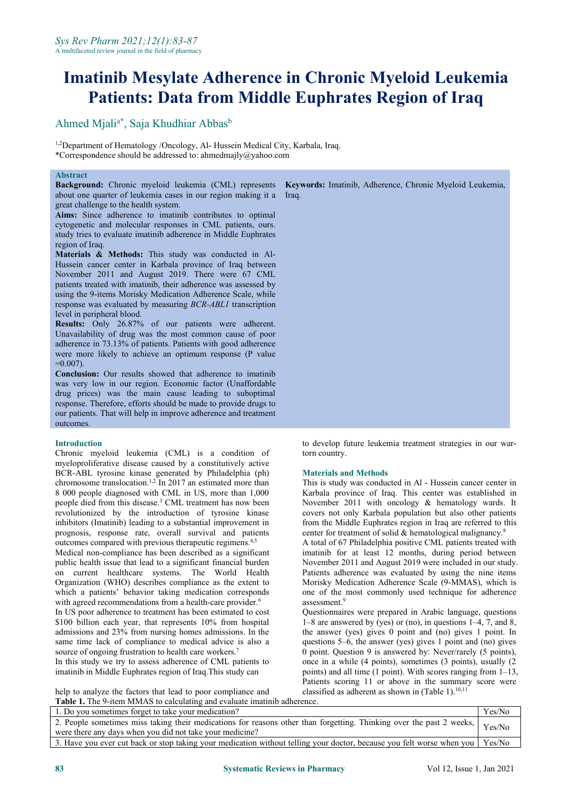# **Imatinib Mesylate Adherence in Chronic Myeloid Leukemia Patients: Data from Middle Euphrates Region of Iraq**

Ahmed Mjali<sup>a\*</sup>, Saja Khudhiar Abbas<sup>b</sup> b<sub>b</sub>

<sup>1,2</sup>Department of Hematology /Oncology, Al- Hussein Medical City, Karbala, Iraq. \*Correspondence should be addressed to: ahmedmajly@yahoo.com

### **Abstract**

about one quarter of leukemia cases in our region making it a Iraq. great challenge to the health system.

**Aims:** Since adherence to imatinib contributes to optimal cytogenetic and molecular responses in CML patients, ours. study tries to evaluate imatinib adherence in Middle Euphrates region of Iraq.

**Materials & Methods:** This study was conducted in Al- Hussein cancer center in Karbala province of Iraq between November 2011 and August 2019. There were 67 CML patients treated with imatinib, their adherence was assessed by using the 9-items Morisky Medication Adherence Scale, while response was evaluated by measuring *BCR-ABL1* transcription level in peripheral blood.

**Results:** Only 26.87% of our patients were adherent. Unavailability of drug was the most common cause of poor adherence in 73.13% of patients. Patients with good adherence were more likely to achieve an optimum response (P value  $=0.007$ ).

**Conclusion:** Our results showed that adherence to imatinib was very low in our region. Economic factor (Unaffordable drug prices) was the main cause leading to suboptimal response. Therefore, efforts should be made to provide drugs to our patients. That will help in improve adherence and treatment outcomes.

## **Introduction**

Chronic myeloid leukemia (CML) is a condition of myeloproliferative disease caused by a constitutively active BCR-ABL tyrosine kinase generated by Philadelphia (ph) chromosome translocation.1,2 In 2017 an estimated more than 8 000 people diagnosed with CML in US, more than 1,000 people died from this disease.<sup>3</sup> CML treatment has now been revolutionized by the introduction of tyrosine kinase inhibitors (Imatinib) leading to a substantial improvement in prognosis, response rate, overall survival and patients outcomes compared with previous therapeutic regimens.4,5 Medical non-compliance has been described as a significant public health issue that lead to a significant financial burden on current healthcare systems. The World Health Organization (WHO) describes compliance as the extent to which a patients' behavior taking medication corresponds with agreed recommendations from a health-care provider.<sup>6</sup> In US poor adherence to treatment has been estimated to cost

 $$100$  billion each year, that represents  $10\%$  from hospital admissions and 23% from nursing homes admissions. In the same time lack of compliance to medical advice is also a source of ongoing frustration to health care workers.<sup>7</sup> In this study we try to assess adherence of CML patients to

**Background:** Chronic myeloid leukemia (CML) represents **Keywords:** Imatinib, Adherence, Chronic Myeloid Leukemia,

to develop future leukemia treatment strategies in our wartorn country.

#### **Materials and Methods**

This is study was conducted in Al - Hussein cancer center in Karbala province of Iraq. This center was established in November 2011 with oncology & hematology wards. It covers not only Karbala population but also other patients from the Middle Euphrates region in Iraq are referred to this center for treatment of solid & hematological malignancy.<sup>8</sup>

A total of 67 Philadelphia positive CML patients treated with imatinib for at least 12 months, during period between November 2011 and August 2019 were included in our study. Patients adherence was evaluated by using the nine items Morisky Medication Adherence Scale (9-MMAS), which is one of the most commonly used technique for adherence assessment.<sup>9</sup>

imatinib in Middle Euphrates region of Iraq. This study can points) and all time (1 point). With scores ranging from 1–13, Questionnaires were prepared in Arabic language, questions 1–8 are answered by (yes) or (no), in questions 1–4, 7, and 8, the answer (yes) gives 0 point and (no) gives 1 point. In questions 5–6, the answer (yes) gives 1 point and (no) gives 0 point. Question 9 is answered by: Never/rarely (5 points), once in a while (4 points), sometimes (3 points), usually (2 points scoring 11 or above in the summary score were classified as adherent as shown in (Table 1).<sup>10,11</sup>

help to analyze the factors that lead to poor compliance and **Table 1.** The 9-item MMAS to calculating and evaluate imatinib adherence.

| 1. Do you sometimes forget to take your medication?                                                                                                                              | Yes/No |
|----------------------------------------------------------------------------------------------------------------------------------------------------------------------------------|--------|
| 2. People sometimes miss taking their medications for reasons other than forgetting. Thinking over the past 2 weeks,<br>were there any days when you did not take your medicine? | Yes/No |
| 3. Have you ever cut back or stop taking your medication without telling your doctor, because you felt worse when you                                                            | Yes/No |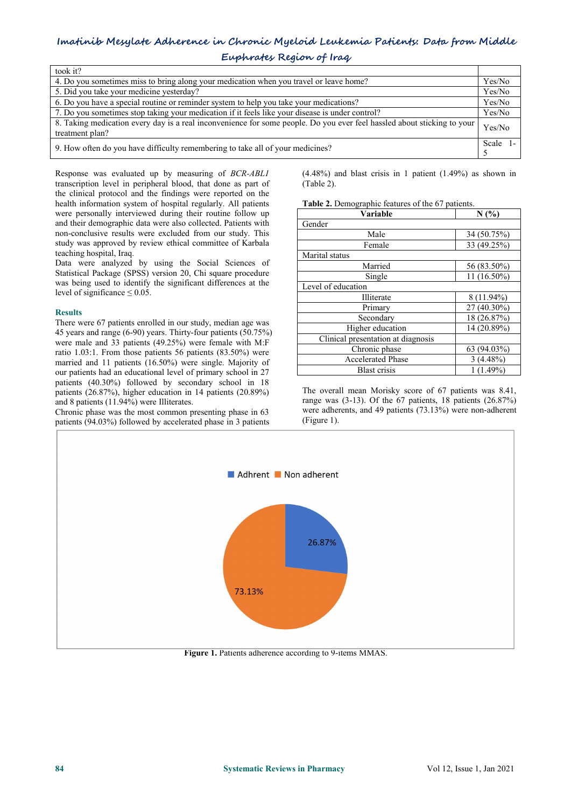## **Imatinib Mesylate Adherence in Chronic Myeloid Leukemia Patients: Data from Middle**

| Euphrates Region of Iraq |  |
|--------------------------|--|
|--------------------------|--|

| took it?                                                                                                                                   |          |
|--------------------------------------------------------------------------------------------------------------------------------------------|----------|
| 4. Do you sometimes miss to bring along your medication when you travel or leave home?                                                     | Yes/No   |
| 5. Did you take your medicine yesterday?                                                                                                   | Yes/No   |
| 6. Do you have a special routine or reminder system to help you take your medications?                                                     | Yes/No   |
| 7. Do you sometimes stop taking your medication if it feels like your disease is under control?                                            | Yes/No   |
| 8. Taking medication every day is a real inconvenience for some people. Do you ever feel hassled about sticking to your<br>treatment plan? | Yes/No   |
| 9. How often do you have difficulty remembering to take all of your medicines?                                                             | Scale 1- |

Response was evaluated up by measuring of *BCR-ABL1* transcription level in peripheral blood, that done as part of the clinical protocol and the findings were reported on the health information system of hospital regularly. All patients were personally interviewed during their routine follow up and their demographic data were also collected. Patients with non-conclusive results were excluded from our study. This study was approved by review ethical committee of Karbala teaching hospital, Iraq.

Data were analyzed by using the Social Sciences of Statistical Package (SPSS) version 20, Chi square procedure was being used to identify the significant differences at the level of significance  $\leq 0.05$ .

## **Results**

There were 67 patients enrolled in our study, median age was 45 years and range (6-90) years. Thirty-four patients (50.75%) were male and 33 patients (49.25%) were female with M:F ratio 1.03:1. From those patients 56 patients (83.50%) were married and 11 patients (16.50%) were single. Majority of our patients had an educational level of primary school in 27 patients (40.30%) followed by secondary school in 18 patients (26.87%), higher education in 14 patients (20.89%) and 8 patients (11.94%) were Illiterates.

Chronic phase was the most common presenting phase in 63 patients (94.03%) followed by accelerated phase in 3 patients (4.48%) and blast crisis in 1 patient (1.49%) as shown in (Table 2).

Table 2. Demographic features of the 67 patients.

| Variable                           | N(%         |
|------------------------------------|-------------|
| Gender                             |             |
| Male                               | 34 (50.75%) |
| Female                             | 33 (49.25%) |
| Marital status                     |             |
| Married                            | 56 (83.50%) |
| Single                             | 11 (16.50%) |
| Level of education                 |             |
| Illiterate                         | 8 (11.94%)  |
| Primary                            | 27 (40.30%) |
| Secondary                          | 18 (26.87%) |
| Higher education                   | 14 (20.89%) |
| Clinical presentation at diagnosis |             |
| Chronic phase                      | 63 (94.03%) |
| <b>Accelerated Phase</b>           | $3(4.48\%)$ |
| Blast crisis                       | $1(1.49\%)$ |

The overall mean Morisky score of 67 patients was 8.41, range was (3-13). Of the 67 patients, 18 patients (26.87%) were adherents, and 49 patients (73.13%) were non-adherent (Figure 1).



**Figure 1.** Patients adherence according to 9-items MMAS.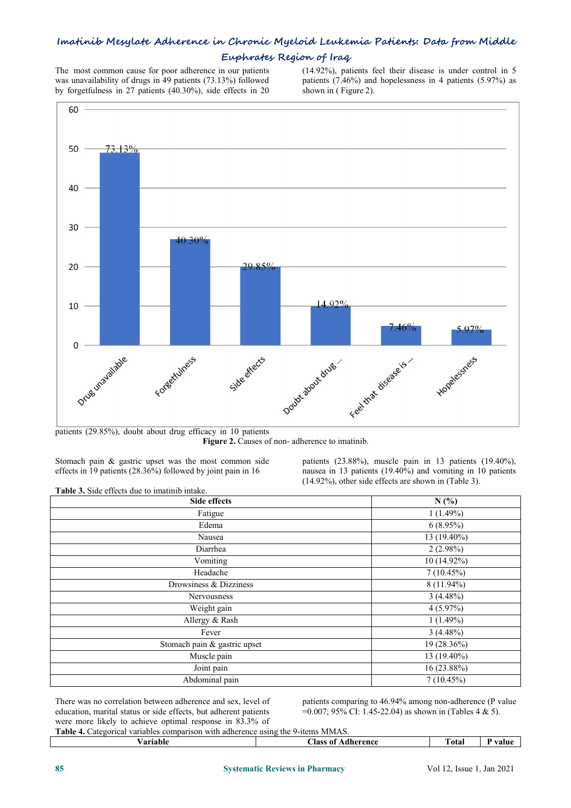## **Imatinib Mesylate Adherence in Chronic Myeloid Leukemia Patients: Data from Middle**

## **Euphrates Region of Iraq**

The most common cause for poor adherence in our patients was unavailability of drugs in 49 patients (73.13%) followed by forgetfulness in 27 patients (40.30%), side effects in 20 (14.92%), patients feel their disease is under control in 5 patients (7.46%) and hopelessness in 4 patients (5.97%) as shown in ( Figure 2).



patients (29.85%), doubt about drug efficacy in 10 patients **Figure 2.** Causes of non- adherence to imatinib.

Stomach pain & gastric upset was the most common side effects in 19 patients (28.36%) followed by joint pain in 16

patients (23.88%), muscle pain in 13 patients (19.40%), nausea in 13 patients (19.40%) and vomiting in 10 patients (14.92%), other side effects are shown in (Table 3).

**Table 3.** Side effects due to imatinib intake.

| Side effects                 | N(%)         |
|------------------------------|--------------|
| Fatigue                      | 1(1.49%)     |
| Edema                        | $6(8.95\%)$  |
| Nausea                       | 13 (19.40%)  |
| Diarrhea                     | $2(2.98\%)$  |
| Vomiting                     | 10 (14.92%)  |
| Headache                     | 7(10.45%)    |
| Drowsiness & Dizziness       | $8(11.94\%)$ |
| Nervousness                  | $3(4.48\%)$  |
| Weight gain                  | $4(5.97\%)$  |
| Allergy & Rash               | 1(1.49%)     |
| Fever                        | $3(4.48\%)$  |
| Stomach pain & gastric upset | 19 (28.36%)  |
| Muscle pain                  | 13 (19.40%)  |
| Joint pain                   | 16 (23.88%)  |
| Abdominal pain               | 7(10.45%)    |

There was no correlation between adherence and sex, level of education, marital status or side effects, but adherent patients were more likely to achieve optimal response in 83.3% of

patients comparing to 46.94% among non-adherence (P value  $=0.007$ ; 95% CI: 1.45-22.04) as shown in (Tables 4 & 5).

**Table 4.** Categorical variables comparison with adherence using the 9-items MMAS.

| 'arıable | Aass<br><b>Acherence</b><br>^+<br><br>мше | otal | value |
|----------|-------------------------------------------|------|-------|
|          |                                           |      |       |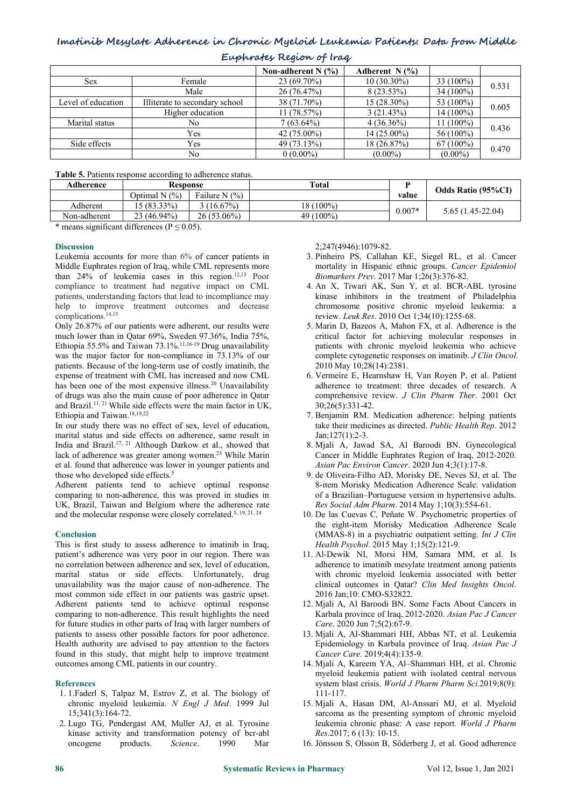## **Imatinib Mesylate Adherence in Chronic Myeloid Leukemia Patients: Data from Middle**

| $\frac{1}{2}$      |                                |                      |                  |             |       |
|--------------------|--------------------------------|----------------------|------------------|-------------|-------|
|                    |                                | Non-adherent N $(%)$ | Adherent N $(%)$ |             |       |
| Sex.               | Female                         | 23 (69.70%)          | $10(30.30\%)$    | $33(100\%)$ | 0.531 |
|                    | Male                           | 26(76.47%)           | $8(23.53\%)$     | $34(100\%)$ |       |
| Level of education | Illiterate to secondary school | 38 (71.70%)          | $15(28.30\%)$    | 53 (100%)   | 0.605 |
|                    | Higher education               | 11(78.57%)           | 3(21.43%)        | 14 (100%)   |       |
| Marital status     | No                             | $7(63.64\%)$         | $4(36.36\%)$     | 11 (100%)   | 0.436 |
|                    | Yes                            | $42(75.00\%)$        | 14 (25.00%)      | $56(100\%)$ |       |
| Side effects       | Yes                            | 49 (73.13%)          | 18(26.87%)       | $67(100\%)$ | 0.470 |
|                    | No                             | $0(0.00\%)$          | $(0.00\%)$       | $(0.00\%)$  |       |

**Euphrates Region of Iraq**

**Table 5.** Patients response according to adherence status.

| Adherence    | <b>Response</b> |                   | Total     |          | <b>Odds Ratio (95%CI)</b> |  |
|--------------|-----------------|-------------------|-----------|----------|---------------------------|--|
|              | Optimal $N(%)$  | Failure N $(\% )$ |           | value    |                           |  |
| Adherent     | $15(83.33\%)$   | $(16.67\%)$       | 18 (100%) | $0.007*$ |                           |  |
| Non-adherent | 23 (46.94%)     | 26 (53.06%)       | 49 (100%) |          | $5.65(1.45-22.04)$        |  |

\* means significant differences ( $P \le 0.05$ ).

#### **Discussion**

Leukemia accounts for more than 6% of cancer patients in Middle Euphrates region of Iraq, while CML represents more than 24% of leukemia cases in this region.12,13 Poor compliance to treatment had negative impact on CML patients, understanding factors that lead to incompliance may help to improve treatment outcomes and decrease complications.14,15

Only 26.87% of our patients were adherent, our results were much lower than in Qatar 69%, Sweden 97.36%, India 75%, Ethiopia 55.5% and Taiwan 73.1%.11,16-19 Drug unavailability was the major factor for non-compliance in 73.13% of our patients. Because of the long-term use of costly imatinib, the expense of treatment with CML has increased and now CML has been one of the most expensive illness.<sup>20</sup> Unavailability of drugs was also the main cause of poor adherence in Qatar and Brazil.<sup>11, 21</sup> While side effects were the main factor in UK, Ethiopia and Taiwan.<sup>18,19,22</sup>

In our study there was no effect of sex, level of education, marital status and side effects on adherence, same result in India and Brazil.17, <sup>21</sup> Although Darkow et al., showed that lack of adherence was greater among women.<sup>23</sup> While Marin et al. found that adherence was lower in younger patients and those who developed side effects.<sup>5</sup>

Adherent patients tend to achieve optimal response comparing to non-adherence, this was proved in studies in UK, Brazil, Taiwan and Belgium where the adherence rate and the molecular response were closely correlated.<sup>5, 19, 21, 24</sup>

## **Conclusion**

This is first study to assess adherence to imatinib in Iraq, patient's adherence was very poor in our region. There was no correlation between adherence and sex, level of education, marital status or side effects. Unfortunately, drug unavailability was the major cause of non-adherence. The most common side effect in our patients was gastric upset. Adherent patients tend to achieve optimal response comparing to non-adherence. This result highlights the need for future studies in other parts of Iraq with larger numbers of patients to assess other possible factors for poor adherence. Health authority are advised to pay attention to the factors found in this study, that might help to improve treatment outcomes among CML patients in our country.

#### **References**

- 1. 1.Faderl S, Talpaz M, Estrov Z, et al. The biology of chronic myeloid leukemia. *N Engl J Med*. 1999 Jul 15;341(3):164-72.
- 2. Lugo TG, Pendergast AM, Muller AJ, et al. Tyrosine kinase activity and transformation potency of bcr-abl oncogene products. *Science*. 1990 Mar

2;247(4946):1079-82.

- 3. Pinheiro PS, Callahan KE, Siegel RL, et al. Cancer mortality in Hispanic ethnic groups. *Cancer Epidemiol Biomarkers Prev*. 2017 Mar 1;26(3):376-82.
- 4. An X, Tiwari AK, Sun Y, et al. BCR-ABL tyrosine kinase inhibitors in the treatment of Philadelphia chromosome positive chronic myeloid leukemia: a review. *Leuk Res*. 2010 Oct 1;34(10):1255-68.
- 5. Marin D, Bazeos A, Mahon FX, et al. Adherence is the critical factor for achieving molecular responses in patients with chronic myeloid leukemia who achieve complete cytogenetic responses on imatinib. *J Clin Oncol*. 2010 May 10;28(14):2381.
- 6. Vermeire E, Hearnshaw H, Van Royen P, et al. Patient adherence to treatment: three decades of research. A comprehensive review. *J Clin Pharm Ther*. 2001 Oct 30;26(5):331-42.
- 7. Benjamin RM. Medication adherence: helping patients take their medicines as directed. *Public Health Rep*. 2012 Jan;127(1):2-3.
- 8. Mjali A, Jawad SA, Al Baroodi BN. Gynecological Cancer in Middle Euphrates Region of Iraq, 2012-2020. *Asian Pac Environ Cancer*. 2020 Jun 4;3(1):17-8.
- 9. de Oliveira-Filho AD, Morisky DE, Neves SJ, et al. The 8-item Morisky Medication Adherence Scale: validation of a Brazilian–Portuguese version in hypertensive adults. *Res Social Adm Pharm*. 2014 May 1;10(3):554-61.
- 10. De las Cuevas C, Peñate W. Psychometric properties of the eight-item Morisky Medication Adherence Scale (MMAS-8) in a psychiatric outpatient setting. *Int J Clin Health Psychol*. 2015 May 1;15(2):121-9.
- 11. Al-Dewik NI, Morsi HM, Samara MM, et al. Is adherence to imatinib mesylate treatment among patients with chronic myeloid leukemia associated with better clinical outcomes in Qatar? *Clin Med Insights Oncol*. 2016 Jan;10: CMO-S32822.
- 12. Mjali A, Al Baroodi BN. Some Facts About Cancers in Karbala province of Iraq, 2012-2020. *Asian Pac J Cancer Care*. 2020 Jun 7;5(2):67-9.
- 13. Mjali A, Al-Shammari HH, Abbas NT, et al. Leukemia Epidemiology in Karbala province of Iraq. *Asian Pac J Cancer Care*. 2019;4(4):135-9.
- 14. Mjali A, Kareem YA, Al–Shammari HH, et al. Chronic myeloid leukemia patient with isolated central nervous system blast crisis. *World J Pharm Pharm Sci*.2019;8(9): 111-117.
- 15. Mjali A, Hasan DM, Al-Anssari MJ, et al. Myeloid sarcoma as the presenting symptom of chronic myeloid leukemia chronic phase: A case report. *World J Pharm Res*.2017; 6 (13): 10-15.
- 16. Jönsson S, Olsson B, Söderberg J, et al. Good adherence